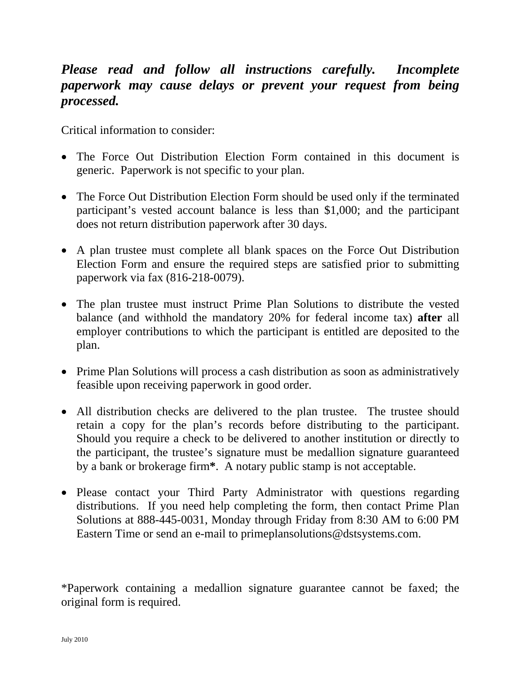## *Please read and follow all instructions carefully. Incomplete paperwork may cause delays or prevent your request from being processed.*

Critical information to consider:

- The Force Out Distribution Election Form contained in this document is generic. Paperwork is not specific to your plan.
- The Force Out Distribution Election Form should be used only if the terminated participant's vested account balance is less than \$1,000; and the participant does not return distribution paperwork after 30 days.
- A plan trustee must complete all blank spaces on the Force Out Distribution Election Form and ensure the required steps are satisfied prior to submitting paperwork via fax (816-218-0079).
- The plan trustee must instruct Prime Plan Solutions to distribute the vested balance (and withhold the mandatory 20% for federal income tax) **after** all employer contributions to which the participant is entitled are deposited to the plan.
- Prime Plan Solutions will process a cash distribution as soon as administratively feasible upon receiving paperwork in good order.
- All distribution checks are delivered to the plan trustee. The trustee should retain a copy for the plan's records before distributing to the participant. Should you require a check to be delivered to another institution or directly to the participant, the trustee's signature must be medallion signature guaranteed by a bank or brokerage firm**\***. A notary public stamp is not acceptable.
- Please contact your Third Party Administrator with questions regarding distributions. If you need help completing the form, then contact Prime Plan Solutions at 888-445-0031, Monday through Friday from 8:30 AM to 6:00 PM Eastern Time or send an e-mail to primeplansolutions@dstsystems.com.

\*Paperwork containing a medallion signature guarantee cannot be faxed; the original form is required.